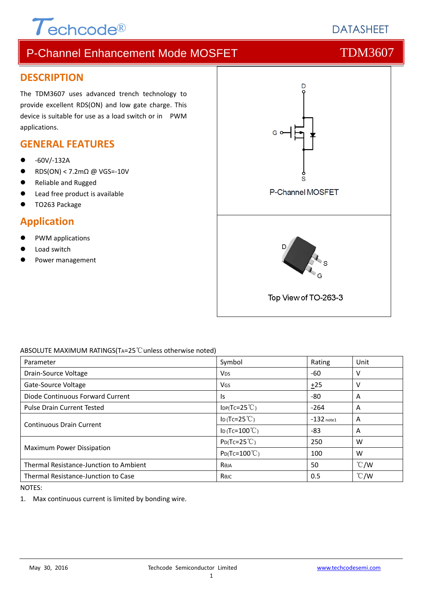

# **DATASHEFT**

# P-Channel Enhancement Mode MOSFET THE TDM3607

## **DESCRIPTION**

The TDM3607 uses advanced trench technology to provide excellent RDS(ON) and low gate charge. This device is suitable for use as a load switch or in PWM applications.

## **GENERAL FEATURES**

- ‐60V/‐132A
- RDS(ON) < 7.2mΩ @ VGS=‐10V
- Reliable and Rugged
- Lead free product is available
- TO263 Package

## **Application**

- PWM applications
- Load switch
- Power management



### ABSOLUTE MAXIMUM RATINGS(TA=25℃unless otherwise noted)

| Parameter                              | Symbol                   | Rating       | Unit          |
|----------------------------------------|--------------------------|--------------|---------------|
| Drain-Source Voltage                   | <b>V<sub>DS</sub></b>    | -60          | v             |
| Gate-Source Voltage                    | VGS                      | ±25          | ٧             |
| Diode Continuous Forward Current       | ls.                      | -80          | A             |
| <b>Pulse Drain Current Tested</b>      | $IDP(Tc=25^{\circ}C)$    | $-264$       | A             |
| <b>Continuous Drain Current</b>        | ID(Tc=25 $°C$ )          | $-132$ note1 | A             |
|                                        | ID (Tc= $100^{\circ}$ C) | $-83$        | A             |
| Maximum Power Dissipation              | $P_{D}(Tc=25^{\circ}C)$  | 250          | W             |
|                                        | $P_{D}(Tc=100^{\circ}C)$ | 100          | W             |
| Thermal Resistance-Junction to Ambient | Reja                     | 50           | $\degree$ C/W |
| Thermal Resistance-Junction to Case    | Көлс                     | 0.5          | $\degree$ C/W |

NOTES:

1. Max continuous current is limited by bonding wire.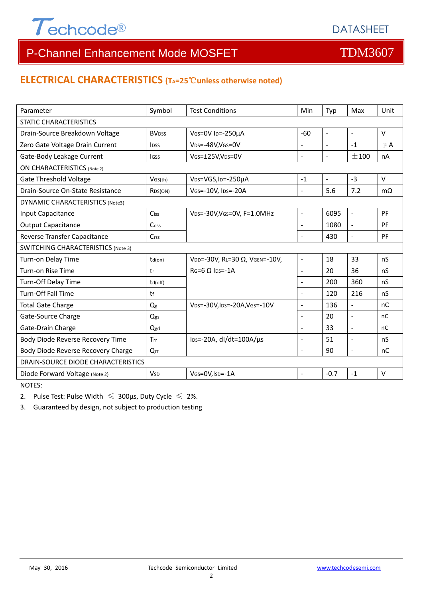

## **ELECTRICAL CHARACTERISTICS (TA=25**℃**unless otherwise noted)**

| Parameter                                 | Symbol                   | <b>Test Conditions</b>                                   | Min                      | Typ            | Max                      | Unit      |  |
|-------------------------------------------|--------------------------|----------------------------------------------------------|--------------------------|----------------|--------------------------|-----------|--|
| <b>STATIC CHARACTERISTICS</b>             |                          |                                                          |                          |                |                          |           |  |
| Drain-Source Breakdown Voltage            | <b>BV</b> <sub>DSS</sub> | VGS=0V ID=-250µA                                         | $-60$                    | $\blacksquare$ | $\equiv$                 | $\vee$    |  |
| Zero Gate Voltage Drain Current           | lpss                     | V <sub>DS</sub> =-48V,V <sub>GS</sub> =0V                | $\overline{a}$           | $\blacksquare$ | $-1$                     | $\mu$ A   |  |
| Gate-Body Leakage Current                 | lgss                     | VGS=±25V,VDS=0V                                          | $\overline{a}$           | $\blacksquare$ | ±100                     | nA        |  |
| <b>ON CHARACTERISTICS (Note 2)</b>        |                          |                                                          |                          |                |                          |           |  |
| <b>Gate Threshold Voltage</b>             | VGS(th)                  | VDS=VGS, ID=-250µA                                       | $-1$                     | $\blacksquare$ | $-3$                     | $\vee$    |  |
| Drain-Source On-State Resistance          | R <sub>DS</sub> (ON)     | VGS=-10V, IDS=-20A                                       | $\overline{a}$           | 5.6            | 7.2                      | $m\Omega$ |  |
| <b>DYNAMIC CHARACTERISTICS (Note3)</b>    |                          |                                                          |                          |                |                          |           |  |
| Input Capacitance                         | Ciss                     | VDS=-30V, VGS=0V, F=1.0MHz                               | $\frac{1}{2}$            | 6095           | $\blacksquare$           | PF        |  |
| <b>Output Capacitance</b>                 | Coss                     |                                                          | $\overline{a}$           | 1080           | $\mathbf{r}$             | PF        |  |
| Reverse Transfer Capacitance              | $C$ rss                  |                                                          |                          | 430            | $\overline{\phantom{a}}$ | PF        |  |
| <b>SWITCHING CHARACTERISTICS (Note 3)</b> |                          |                                                          |                          |                |                          |           |  |
| Turn-on Delay Time                        | $td($ on $)$             | VDD=-30V, RL=30 Ω, VGEN=-10V,<br>$RG=6$ $\Omega$ lps=-1A | $\overline{a}$           | 18             | 33                       | nS        |  |
| Turn-on Rise Time                         | tr                       |                                                          | $\blacksquare$           | 20             | 36                       | nS        |  |
| Turn-Off Delay Time                       | td(off)                  |                                                          |                          | 200            | 360                      | nS        |  |
| <b>Turn-Off Fall Time</b>                 | tf                       |                                                          |                          | 120            | 216                      | nS        |  |
| <b>Total Gate Charge</b>                  | Q <sub>g</sub>           | VDS=-30V, IDS=-20A, VGS=-10V                             | $\overline{a}$           | 136            | $\overline{\phantom{a}}$ | nC        |  |
| Gate-Source Charge                        | Qgs                      |                                                          | ٠                        | 20             | $\overline{a}$           | nC        |  |
| Gate-Drain Charge                         | Qgd                      |                                                          | $\overline{\phantom{0}}$ | 33             | $\blacksquare$           | nC        |  |
| Body Diode Reverse Recovery Time          | Trr                      | $\text{los}$ =-20A, dl/dt=100A/ $\mu$ s                  | $\overline{a}$           | 51             | $\blacksquare$           | nS        |  |
| Body Diode Reverse Recovery Charge        | $Q_{rr}$                 |                                                          | $\overline{a}$           | 90             | $\blacksquare$           | nC        |  |
| DRAIN-SOURCE DIODE CHARACTERISTICS        |                          |                                                          |                          |                |                          |           |  |
| Diode Forward Voltage (Note 2)            | <b>V<sub>SD</sub></b>    | VGS=0V, ISD=-1A                                          | $\blacksquare$           | $-0.7$         | $-1$                     | $\vee$    |  |

NOTES:

2. Pulse Test: Pulse Width  $\leq 300$ μs, Duty Cycle  $\leq 2\%$ .

3. Guaranteed by design, not subject to production testing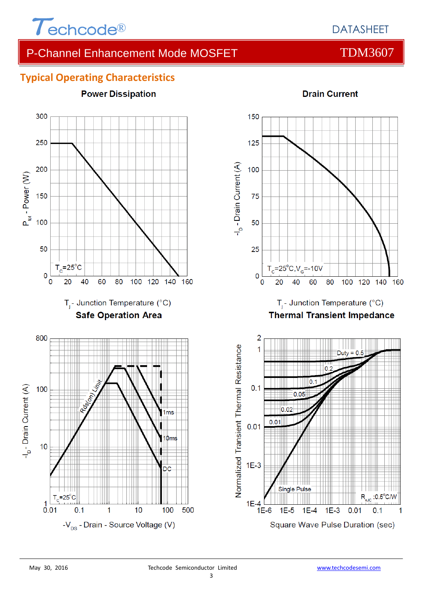

## **Typical Operating Characteristics**





 $1E-3$ 

 $1E-4$ 

 $1E-5$ 

 $0.01$ 

 $0.1$ 

1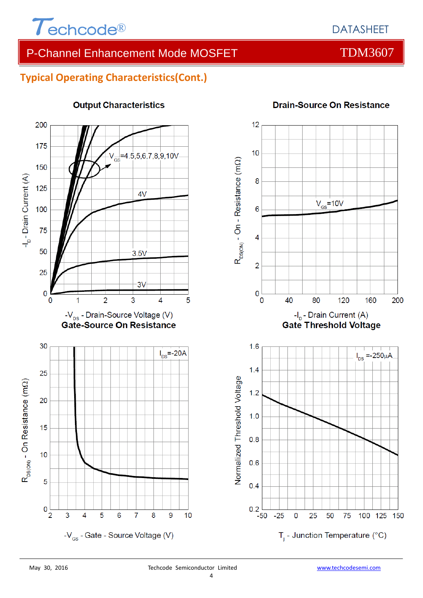

## **Typical Operating Characteristics(Cont.)**



## **Output Characteristics**

### **Drain-Source On Resistance**

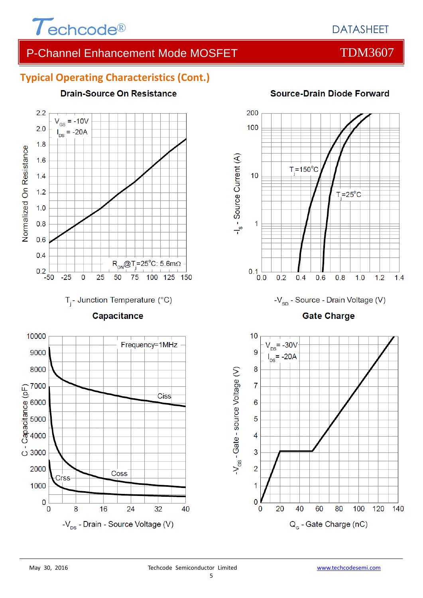

# **Typical Operating Characteristics (Cont.)**



## **Source-Drain Diode Forward**





8000

(

 $\overline{O}$  3000

2000

1000

 $\overline{0}$ 

 $\overline{0}$ 

Crss

8

40

**Ciss** 

Coss

 $-V_{\text{ns}}$  - Drain - Source Voltage (V)

24

32

16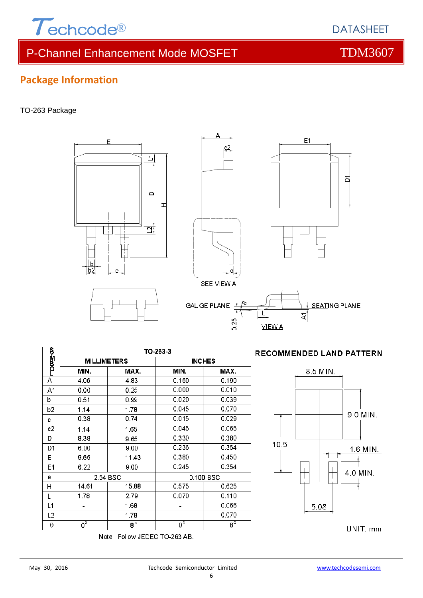

 $\sum$ 

d

H

F

### TO-263 Package



Note: Follow JEDEC TO-263 AB.



### **RECOMMENDED LAND PATTERN**



UNIT: mm